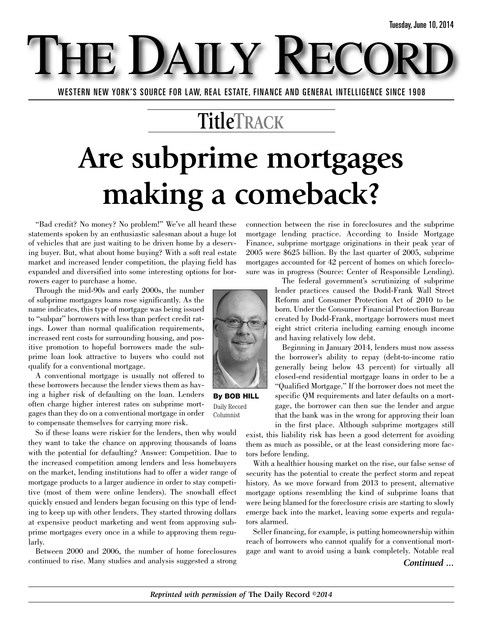WESTERN NEW YORK'S SOURCE FOR LAW, REAL ESTATE, FINANCE AND GENERAL INTELLIGENCE SINCE 1908

E DAILY

### **TitleTRACK**

## **Are subprime mortgages making a comeback?**

"Bad credit? No money? No problem!" We've all heard these statements spoken by an enthusiastic salesman about a huge lot of vehicles that are just waiting to be driven home by a deserving buyer. But, what about home buying? With a soft real estate market and increased lender competition, the playing field has expanded and diversified into some interesting options for borrowers eager to purchase a home.

Through the mid-90s and early 2000s, the number of subprime mortgages loans rose significantly. As the name indicates, this type of mortgage was being issued to "subpar" borrowers with less than perfect credit ratings. Lower than normal qualification requirements, increased rent costs for surrounding housing, and positive promotion to hopeful borrowers made the subprime loan look attractive to buyers who could not qualify for a conventional mortgage.

A conventional mortgage is usually not offered to these borrowers because the lender views them as having a higher risk of defaulting on the loan. Lenders often charge higher interest rates on subprime mortgages than they do on a conventional mortgage in order to compensate themselves for carrying more risk.

So if these loans were riskier for the lenders, then why would they want to take the chance on approving thousands of loans with the potential for defaulting? Answer: Competition. Due to the increased competition among lenders and less homebuyers on the market, lending institutions had to offer a wider range of mortgage products to a larger audience in order to stay competitive (most of them were online lenders). The snowball effect quickly ensued and lenders began focusing on this type of lending to keep up with other lenders. They started throwing dollars at expensive product marketing and went from approving subprime mortgages every once in a while to approving them regularly.

Between 2000 and 2006, the number of home foreclosures continued to rise. Many studies and analysis suggested a strong connection between the rise in foreclosures and the subprime mortgage lending practice. According to Inside Mortgage Finance, subprime mortgage originations in their peak year of 2005 were \$625 billion. By the last quarter of 2005, subprime mortgages accounted for 42 percent of homes on which foreclosure was in progress (Source: Center of Responsible Lending).



Beginning in January 2014, lenders must now assess the borrower's ability to repay (debt-to-income ratio generally being below 43 percent) for virtually all closed-end residential mortgage loans in order to be a "Qualified Mortgage." If the borrower does not meet the specific QM requirements and later defaults on a mortgage, the borrower can then sue the lender and argue that the bank was in the wrong for approving their loan in the first place. Although subprime mortgages still

exist, this liability risk has been a good deterrent for avoiding them as much as possible, or at the least considering more factors before lending.

With a healthier housing market on the rise, our false sense of security has the potential to create the perfect storm and repeat history. As we move forward from 2013 to present, alternative mortgage options resembling the kind of subprime loans that were being blamed for the foreclosure crisis are starting to slowly emerge back into the market, leaving some experts and regulators alarmed.

Seller financing, for example, is putting homeownership within reach of borrowers who cannot qualify for a conventional mortgage and want to avoid using a bank completely. Notable real



**By BOB HILL** Daily Record Columnist